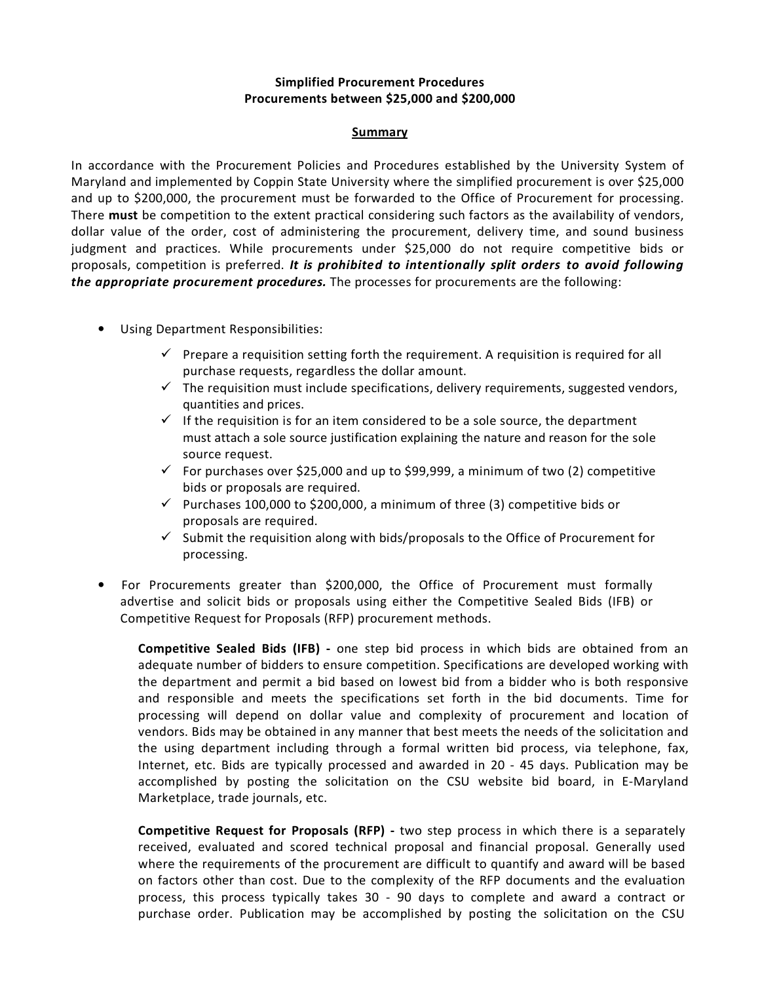## **Simplified Procurement Procedures Procurements between \$25,000 and \$200,000**

## **Summary**

In accordance with the Procurement Policies and Procedures established by the University System of Maryland and implemented by Coppin State University where the simplified procurement is over \$25,000 and up to \$200,000, the procurement must be forwarded to the Office of Procurement for processing. There **must** be competition to the extent practical considering such factors as the availability of vendors, dollar value of the order, cost of administering the procurement, delivery time, and sound business judgment and practices. While procurements under \$25,000 do not require competitive bids or proposals, competition is preferred. *It is prohibited to intentionally split orders to avoid following the appropriate procurement procedures.* The processes for procurements are the following:

- Using Department Responsibilities:
	- $\checkmark$  Prepare a requisition setting forth the requirement. A requisition is required for all purchase requests, regardless the dollar amount.
	- $\checkmark$  The requisition must include specifications, delivery requirements, suggested vendors, quantities and prices.
	- $\checkmark$  If the requisition is for an item considered to be a sole source, the department must attach a sole source justification explaining the nature and reason for the sole source request.
	- $\checkmark$  For purchases over \$25,000 and up to \$99,999, a minimum of two (2) competitive bids or proposals are required.
	- $\checkmark$  Purchases 100,000 to \$200,000, a minimum of three (3) competitive bids or proposals are required.
	- $\checkmark$  Submit the requisition along with bids/proposals to the Office of Procurement for processing.
- For Procurements greater than \$200,000, the Office of Procurement must formally advertise and solicit bids or proposals using either the Competitive Sealed Bids (IFB) or Competitive Request for Proposals (RFP) procurement methods.

**Competitive Sealed Bids (IFB) -** one step bid process in which bids are obtained from an adequate number of bidders to ensure competition. Specifications are developed working with the department and permit a bid based on lowest bid from a bidder who is both responsive and responsible and meets the specifications set forth in the bid documents. Time for processing will depend on dollar value and complexity of procurement and location of vendors. Bids may be obtained in any manner that best meets the needs of the solicitation and the using department including through a formal written bid process, via telephone, fax, Internet, etc. Bids are typically processed and awarded in 20 - 45 days. Publication may be accomplished by posting the solicitation on the CSU website bid board, in E-Maryland Marketplace, trade journals, etc.

**Competitive Request for Proposals (RFP) -** two step process in which there is a separately received, evaluated and scored technical proposal and financial proposal. Generally used where the requirements of the procurement are difficult to quantify and award will be based on factors other than cost. Due to the complexity of the RFP documents and the evaluation process, this process typically takes 30 - 90 days to complete and award a contract or purchase order. Publication may be accomplished by posting the solicitation on the CSU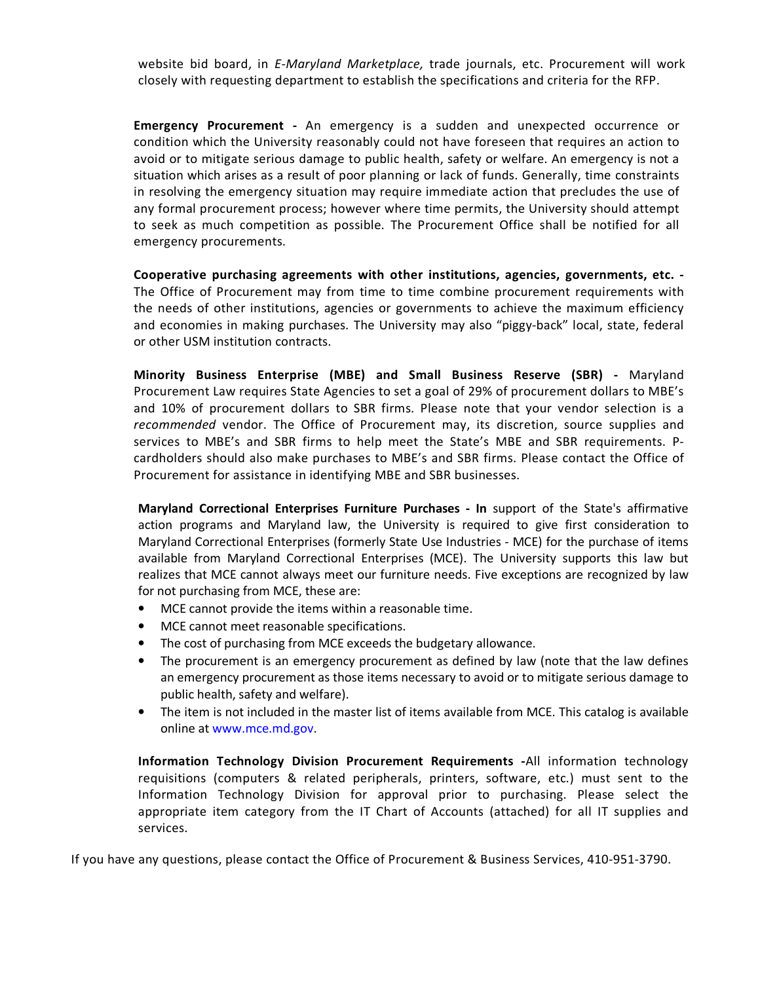website bid board, in *E-Maryland Marketplace,* trade journals, etc. Procurement will work closely with requesting department to establish the specifications and criteria for the RFP.

**Emergency Procurement -** An emergency is a sudden and unexpected occurrence or condition which the University reasonably could not have foreseen that requires an action to avoid or to mitigate serious damage to public health, safety or welfare. An emergency is not a situation which arises as a result of poor planning or lack of funds. Generally, time constraints in resolving the emergency situation may require immediate action that precludes the use of any formal procurement process; however where time permits, the University should attempt to seek as much competition as possible. The Procurement Office shall be notified for all emergency procurements.

**Cooperative purchasing agreements with other institutions, agencies, governments, etc. -**  The Office of Procurement may from time to time combine procurement requirements with the needs of other institutions, agencies or governments to achieve the maximum efficiency and economies in making purchases. The University may also "piggy-back" local, state, federal or other USM institution contracts.

**Minority Business Enterprise (MBE) and Small Business Reserve (SBR) -** Maryland Procurement Law requires State Agencies to set a goal of 29% of procurement dollars to MBE's and 10% of procurement dollars to SBR firms. Please note that your vendor selection is a *recommended* vendor. The Office of Procurement may, its discretion, source supplies and services to MBE's and SBR firms to help meet the State's MBE and SBR requirements. Pcardholders should also make purchases to MBE's and SBR firms. Please contact the Office of Procurement for assistance in identifying MBE and SBR businesses.

**Maryland Correctional Enterprises Furniture Purchases - In** support of the State's affirmative action programs and Maryland law, the University is required to give first consideration to Maryland Correctional Enterprises (formerly State Use Industries - MCE) for the purchase of items available from Maryland Correctional Enterprises (MCE). The University supports this law but realizes that MCE cannot always meet our furniture needs. Five exceptions are recognized by law for not purchasing from MCE, these are:

- MCE cannot provide the items within a reasonable time.
- MCE cannot meet reasonable specifications.
- The cost of purchasing from MCE exceeds the budgetary allowance.
- The procurement is an emergency procurement as defined by law (note that the law defines an emergency procurement as those items necessary to avoid or to mitigate serious damage to public health, safety and welfare).
- The item is not included in the master list of items available from MCE. This catalog is available online at www.mce.md.gov.

**Information Technology Division Procurement Requirements -**All information technology requisitions (computers & related peripherals, printers, software, etc.) must sent to the Information Technology Division for approval prior to purchasing. Please select the appropriate item category from the IT Chart of Accounts (attached) for all IT supplies and services.

If you have any questions, please contact the Office of Procurement & Business Services, 410-951-3790.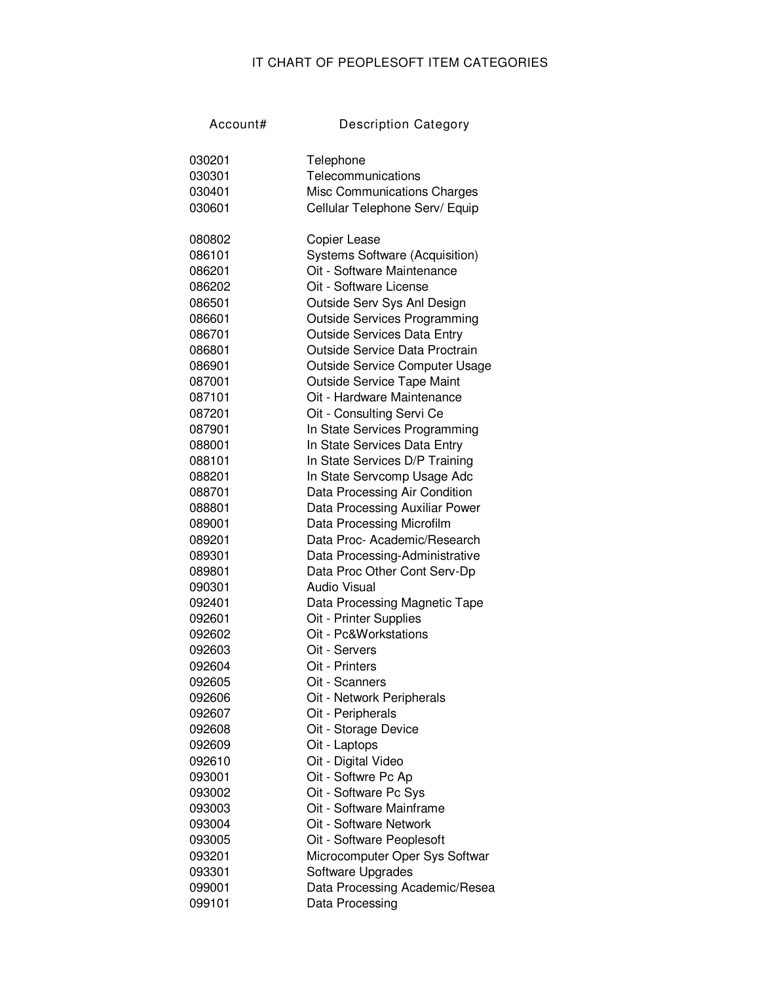## IT CHART OF PEOPLESOFT ITEM CATEGORIES

| Account# | <b>Description Category</b>           |
|----------|---------------------------------------|
|          |                                       |
| 030201   | Telephone                             |
| 030301   | Telecommunications                    |
| 030401   | <b>Misc Communications Charges</b>    |
| 030601   | Cellular Telephone Serv/ Equip        |
|          |                                       |
| 080802   | Copier Lease                          |
| 086101   | <b>Systems Software (Acquisition)</b> |
| 086201   | Oit - Software Maintenance            |
| 086202   | Oit - Software License                |
| 086501   | Outside Serv Sys Anl Design           |
| 086601   | <b>Outside Services Programming</b>   |
| 086701   | <b>Outside Services Data Entry</b>    |
| 086801   | Outside Service Data Proctrain        |
| 086901   | Outside Service Computer Usage        |
| 087001   | <b>Outside Service Tape Maint</b>     |
| 087101   | Oit - Hardware Maintenance            |
| 087201   | Oit - Consulting Servi Ce             |
| 087901   | In State Services Programming         |
| 088001   | In State Services Data Entry          |
| 088101   | In State Services D/P Training        |
| 088201   | In State Servcomp Usage Adc           |
| 088701   | Data Processing Air Condition         |
| 088801   | Data Processing Auxiliar Power        |
| 089001   | Data Processing Microfilm             |
| 089201   | Data Proc- Academic/Research          |
| 089301   | Data Processing-Administrative        |
| 089801   | Data Proc Other Cont Serv-Dp          |
| 090301   | Audio Visual                          |
| 092401   | Data Processing Magnetic Tape         |
| 092601   | Oit - Printer Supplies                |
| 092602   | Oit - Pc&Workstations                 |
| 092603   | Oit - Servers                         |
| 092604   | Oit - Printers                        |
| 092605   | Oit - Scanners                        |
| 092606   | Oit - Network Peripherals             |
| 092607   | Oit - Peripherals                     |
| 092608   | Oit - Storage Device                  |
| 092609   | Oit - Laptops                         |
| 092610   | Oit - Digital Video                   |
| 093001   | Oit - Softwre Pc Ap                   |
| 093002   | Oit - Software Pc Sys                 |
| 093003   | Oit - Software Mainframe              |
| 093004   | Oit - Software Network                |
| 093005   | Oit - Software Peoplesoft             |
| 093201   | Microcomputer Oper Sys Softwar        |
| 093301   | Software Upgrades                     |
| 099001   | Data Processing Academic/Resea        |
| 099101   | Data Processing                       |